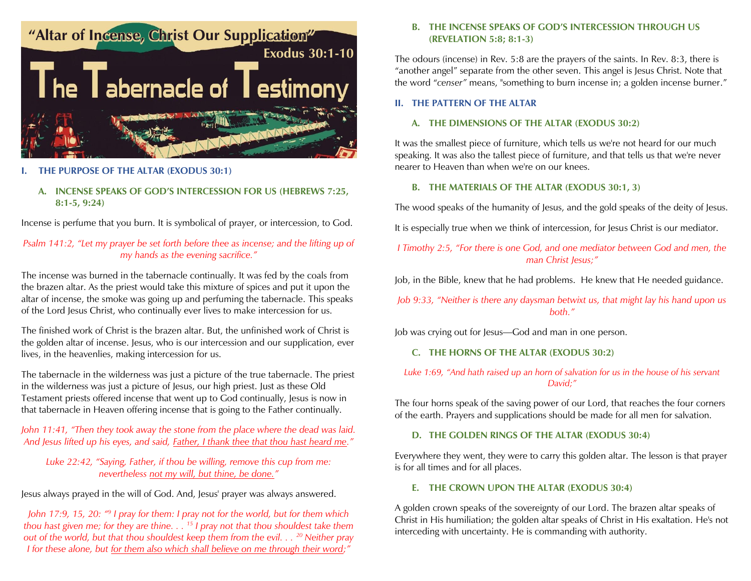

## **I. THE PURPOSE OF THE ALTAR (EXODUS 30:1)**

# **A. INCENSE SPEAKS OF GOD'S INTERCESSION FOR US (HEBREWS 7:25, 8:1-5, 9:24)**

Incense is perfume that you burn. It is symbolical of prayer, or intercession, to God.

# *Psalm 141:2, "Let my prayer be set forth before thee as incense; and the lifting up of my hands as the evening sacrifice."*

The incense was burned in the tabernacle continually. It was fed by the coals from the brazen altar. As the priest would take this mixture of spices and put it upon the altar of incense, the smoke was going up and perfuming the tabernacle. This speaks of the Lord Jesus Christ, who continually ever lives to make intercession for us.

The finished work of Christ is the brazen altar. But, the unfinished work of Christ is the golden altar of incense. Jesus, who is our intercession and our supplication, ever lives, in the heavenlies, making intercession for us.

The tabernacle in the wilderness was just a picture of the true tabernacle. The priest in the wilderness was just a picture of Jesus, our high priest. Just as these Old Testament priests offered incense that went up to God continually, Jesus is now in that tabernacle in Heaven offering incense that is going to the Father continually.

## *John 11:41, "Then they took away the stone from the place where the dead was laid. And Jesus lifted up his eyes, and said, Father, I thank thee that thou hast heard me."*

## *Luke 22:42, "Saying, Father, if thou be willing, remove this cup from me: nevertheless not my will, but thine, be done."*

Jesus always prayed in the will of God. And, Jesus' prayer was always answered.

John 17:9, 15, 20:  $\degree$ <sup>9</sup> I pray for them: I pray not for the world, but for them which *thou hast given me; for they are thine. . . <sup>15</sup> I pray not that thou shouldest take them out of the world, but that thou shouldest keep them from the evil. . . <sup>20</sup> Neither pray I for these alone, but for them also which shall believe on me through their word;"*

#### **B. THE INCENSE SPEAKS OF GOD'S INTERCESSION THROUGH US (REVELATION 5:8; 8:1-3)**

The odours (incense) in Rev. 5:8 are the prayers of the saints. In Rev. 8:3, there is "another angel" separate from the other seven. This angel is Jesus Christ. Note that the word "*censer"* means, "something to burn incense in; a golden incense burner."

#### **II. THE PATTERN OF THE ALTAR**

## **A. THE DIMENSIONS OF THE ALTAR (EXODUS 30:2)**

It was the smallest piece of furniture, which tells us we're not heard for our much speaking. It was also the tallest piece of furniture, and that tells us that we're never nearer to Heaven than when we're on our knees.

### **B. THE MATERIALS OF THE ALTAR (EXODUS 30:1, 3)**

The wood speaks of the humanity of Jesus, and the gold speaks of the deity of Jesus.

It is especially true when we think of intercession, for Jesus Christ is our mediator.

*I Timothy 2:5, "For there is one God, and one mediator between God and men, the man Christ Jesus;"*

Job, in the Bible, knew that he had problems. He knew that He needed guidance.

*Job 9:33, "Neither is there any daysman betwixt us, that might lay his hand upon us both."*

Job was crying out for Jesus—God and man in one person.

## **C. THE HORNS OF THE ALTAR (EXODUS 30:2)**

## *Luke 1:69, "And hath raised up an horn of salvation for us in the house of his servant David;"*

The four horns speak of the saving power of our Lord, that reaches the four corners of the earth. Prayers and supplications should be made for all men for salvation.

#### **D. THE GOLDEN RINGS OF THE ALTAR (EXODUS 30:4)**

Everywhere they went, they were to carry this golden altar. The lesson is that prayer is for all times and for all places.

#### **E. THE CROWN UPON THE ALTAR (EXODUS 30:4)**

A golden crown speaks of the sovereignty of our Lord. The brazen altar speaks of Christ in His humiliation; the golden altar speaks of Christ in His exaltation. He's not interceding with uncertainty. He is commanding with authority.